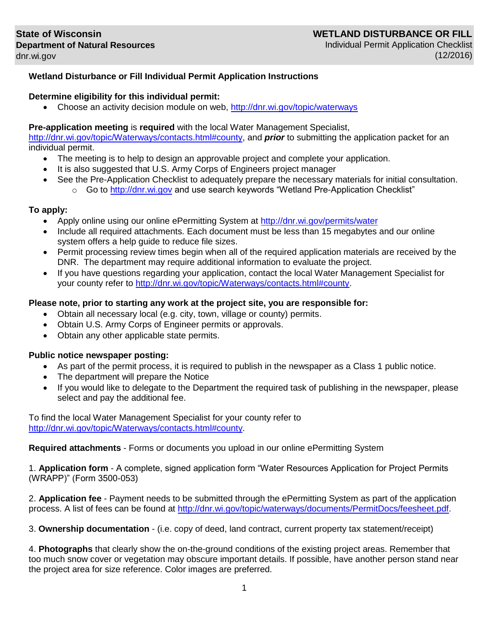# **Wetland Disturbance or Fill Individual Permit Application Instructions**

### **Determine eligibility for this individual permit:**

Choose an activity decision module on web,<http://dnr.wi.gov/topic/waterways>

### **Pre-application meeting** is **required** with the local Water Management Specialist,

[http://dnr.wi.gov/topic/Waterways/contacts.html#county,](http://dnr.wi.gov/topic/Waterways/contacts.html#county) and *prior* to submitting the application packet for an individual permit.

- The meeting is to help to design an approvable project and complete your application.
- It is also suggested that U.S. Army Corps of Engineers project manager
	- See the Pre-Application Checklist to adequately prepare the necessary materials for initial consultation.
		- $\circ$  Go to [http://dnr.wi.gov](http://dnr.wi.gov/) and use search keywords "Wetland Pre-Application Checklist"

### **To apply:**

- Apply online using our online ePermitting System at<http://dnr.wi.gov/permits/water>
- Include all required attachments. Each document must be less than 15 megabytes and our online system offers a help guide to reduce file sizes.
- Permit processing review times begin when all of the required application materials are received by the DNR. The department may require additional information to evaluate the project.
- If you have questions regarding your application, contact the local Water Management Specialist for your county refer to [http://dnr.wi.gov/topic/Waterways/contacts.html#county.](http://dnr.wi.gov/topic/Waterways/contacts.html#county)

### **Please note, prior to starting any work at the project site, you are responsible for:**

- Obtain all necessary local (e.g. city, town, village or county) permits.
- Obtain U.S. Army Corps of Engineer permits or approvals.
- Obtain any other applicable state permits.

#### **Public notice newspaper posting:**

- As part of the permit process, it is required to publish in the newspaper as a Class 1 public notice.
- The department will prepare the Notice
- If you would like to delegate to the Department the required task of publishing in the newspaper, please select and pay the additional fee.

To find the local Water Management Specialist for your county refer to [http://dnr.wi.gov/topic/Waterways/contacts.html#county.](http://dnr.wi.gov/topic/Waterways/contacts.html#county)

**Required attachments** - Forms or documents you upload in our online ePermitting System

1. **Application form** - A complete, signed application form "Water Resources Application for Project Permits (WRAPP)" (Form 3500-053)

2. **Application fee** - Payment needs to be submitted through the ePermitting System as part of the application process. A list of fees can be found at [http://dnr.wi.gov/topic/waterways/documents/PermitDocs/feesheet.pdf.](http://dnr.wi.gov/topic/waterways/documents/PermitDocs/feesheet.pdf)

3. **Ownership documentation** - (i.e. copy of deed, land contract, current property tax statement/receipt)

4. **Photographs** that clearly show the on-the-ground conditions of the existing project areas. Remember that too much snow cover or vegetation may obscure important details. If possible, have another person stand near the project area for size reference. Color images are preferred.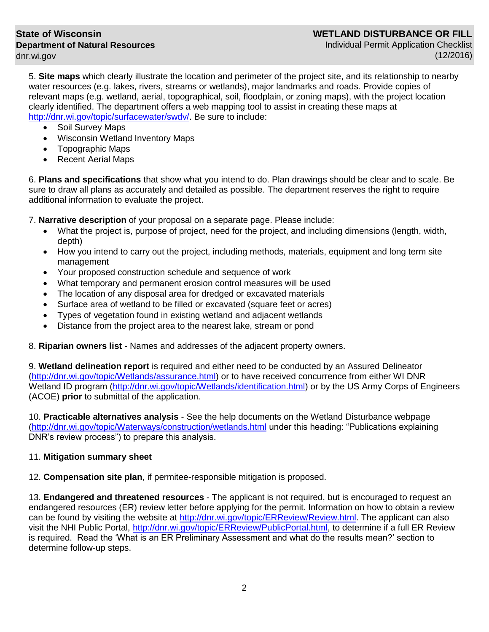### **State of Wisconsin Department of Natural Resources** [dnr.wi.gov](http://dnr.wi.gov/)

Individual Permit Application Checklist (12/2016)

5. **Site maps** which clearly illustrate the location and perimeter of the project site, and its relationship to nearby water resources (e.g. lakes, rivers, streams or wetlands), major landmarks and roads. Provide copies of relevant maps (e.g. wetland, aerial, topographical, soil, floodplain, or zoning maps), with the project location clearly identified. The department offers a web mapping tool to assist in creating these maps at [http://dnr.wi.gov/topic/surfacewater/swdv/.](http://dnr.wi.gov/topic/surfacewater/swdv/) Be sure to include:

- Soil Survey Maps
- Wisconsin Wetland Inventory Maps
- Topographic Maps
- Recent Aerial Maps

6. **Plans and specifications** that show what you intend to do. Plan drawings should be clear and to scale. Be sure to draw all plans as accurately and detailed as possible. The department reserves the right to require additional information to evaluate the project.

7. **Narrative description** of your proposal on a separate page. Please include:

- What the project is, purpose of project, need for the project, and including dimensions (length, width, depth)
- How you intend to carry out the project, including methods, materials, equipment and long term site management
- Your proposed construction schedule and sequence of work
- What temporary and permanent erosion control measures will be used
- The location of any disposal area for dredged or excavated materials
- Surface area of wetland to be filled or excavated (square feet or acres)
- Types of vegetation found in existing wetland and adjacent wetlands
- Distance from the project area to the nearest lake, stream or pond

8. **Riparian owners list** - Names and addresses of the adjacent property owners.

9. **Wetland delineation report** is required and either need to be conducted by an Assured Delineator [\(http://dnr.wi.gov/topic/Wetlands/assurance.html\)](http://dnr.wi.gov/topic/Wetlands/assurance.html) or to have received concurrence from either WI DNR Wetland ID program [\(http://dnr.wi.gov/topic/Wetlands/identification.html\)](http://dnr.wi.gov/topic/Wetlands/identification.html) or by the US Army Corps of Engineers (ACOE) **prior** to submittal of the application.

10. **Practicable alternatives analysis** - See the help documents on the Wetland Disturbance webpage [\(http://dnr.wi.gov/topic/Waterways/construction/wetlands.html](http://dnr.wi.gov/topic/Waterways/construction/wetlands.html) under this heading: "Publications explaining DNR's review process") to prepare this analysis.

## 11. **Mitigation summary sheet**

12. **Compensation site plan**, if permitee-responsible mitigation is proposed.

13. **Endangered and threatened resources** - The applicant is not required, but is encouraged to request an endangered resources (ER) review letter before applying for the permit. Information on how to obtain a review can be found by visiting the website at [http://dnr.wi.gov/topic/ERReview/Review.html.](http://dnr.wi.gov/topic/ERReview/Review.html) The applicant can also visit the NHI Public Portal, [http://dnr.wi.gov/topic/ERReview/PublicPortal.html,](http://dnr.wi.gov/topic/ERReview/PublicPortal.html) to determine if a full ER Review is required. Read the 'What is an ER Preliminary Assessment and what do the results mean?' section to determine follow-up steps.